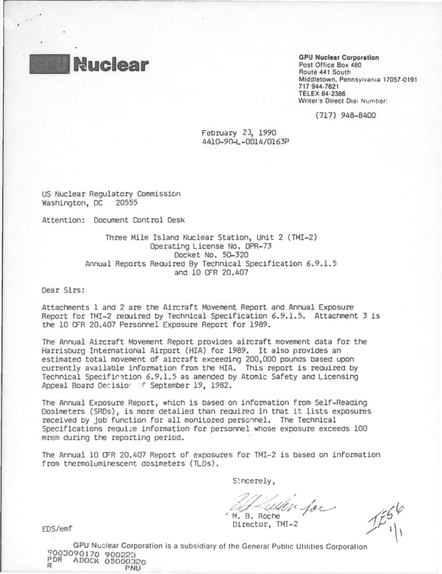

**GPU Nuclear Corporation** Post Office Box 480 Route 441 South Middletown, Pennsylvania 17057-0191 717 944-7621 **TELEX 84-2386** Writer's Direct Dial Number:

(717) 948-8400

February 23, 1990 4410-90-L-0014/0163P

US Nuclear Regulatory Commission Washington, DC 20555

Attention: Document Control Desk

Three Mile Island Nuclear Station, Unit 2 (TMI-2) Operating License No. DPR-73 Docket No. 50-320 Annual Reports Required By Technical Specification 6.9.1.5 and 10 OFR 20,407

Dear Sirs:

Attachments 1 and 2 are the Aircraft Movement Report and Annual Exposure Report for TMI-2 required by Technical Specification 6.9.1.5. Attachment 3 is the 10 OFR 20.407 Personnel Exposure Report for 1989.

The Annual Aircraft Movement Report provides aircraft movement data for the Harrisburg International Airport (HIA) for 1989. It also provides an estimated total movement of aircraft exceeding 200,000 pounds based upon currently available information from the HIA. This report is required by Technical Specification 6.9.1.5 as amended by Atomic Safety and Licensing Appeal Board Decisior f September 19, 1982.

The Annual Exposure Report, which is based on information from Self-Reading Dosimeters (SRDs), is more detailed than required in that it lists exposures received by job function for all monitored personnel. The Technical Specifications require information for personnel whose exposure exceeds 100 mrem during the reporting period.

The Annual 10 CFR 20.407 Report of exposures for TMI-2 is based on information from thermoluminescent dosimeters (TLDs).

Sincerely,

When for M. B. Roche

Director, TMI-2

EDS/emf

GPU Nuclear Corporation is a subsidiary of the General Public Utilities Corporation 9003090170 900223 PDR ADOCK 05000320 Q

PNU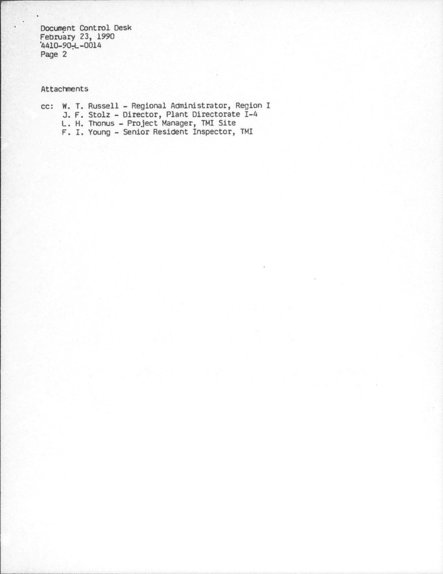Docunent Control Desk February 23, 1990 '4410-90-;L -0014 Page 2

## Attachnents

cc: w. T. Russell- Regional Administrator, Region I J. F. Stolz- Director, Plant Directorate I-4 L. H. Thonus - Project Manager, TMI Site F. I. Young- Senior Resident Inspector, TMI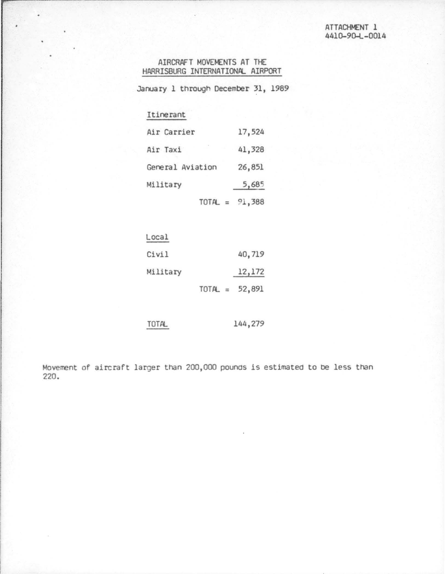## AIRCRAFT MOVEMENTS AT THE HARRISBURG INTERNATIONAL AIRPORT

January 1 through December 31, 1989

## Itinerant

| Air Carrier      | 17,524 |
|------------------|--------|
| Air Taxi         | 41,328 |
| General Aviation | 26,851 |
| Military         | 5,685  |
| $TOTAL = 91,388$ |        |

| Local    |                  |        |
|----------|------------------|--------|
| Civil    |                  | 40,719 |
| Military |                  | 12,172 |
|          | $TOTAL = 52,891$ |        |

144,279 **TOTAL** 

Movement of aircraft larger than 200,000 pounds is estimated to be less than 220.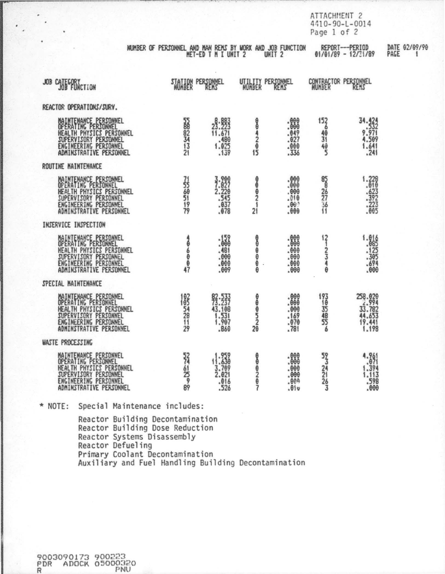ATTACHMENT 2<br>4410-90-L-0014 Page 1 of 2

| NUMBER OF PERSONNEL AND MAN REMS BY WORK AND JOB FUNCTION |                     |                   | REPORT---PERIOD       | DATE 02/09/90 |
|-----------------------------------------------------------|---------------------|-------------------|-----------------------|---------------|
|                                                           | HET-ED T H I UNIT 2 | UNIT <sub>2</sub> | $01/01/89 - 12/31/89$ | PAGE          |

| JOB CATEGORY                                                                                                                                          | STATION PERSONNEL           |                                                | WORBER       | PERSONAEL                                    |                                         | CONTRACTOR PERSONNEL                                      |
|-------------------------------------------------------------------------------------------------------------------------------------------------------|-----------------------------|------------------------------------------------|--------------|----------------------------------------------|-----------------------------------------|-----------------------------------------------------------|
| REACTOR OPERATIONS/SURV.                                                                                                                              |                             |                                                |              |                                              |                                         |                                                           |
| MAINTEMANCE PERSONNEL<br>OFERALING PERSONNEL<br>HEALTH PHYSICS PERSONNEL<br>SUFERVISORY PERSONNEL<br>ENGINEERING PERSONNEL<br>ADMINSTRATIVE PERSONNEL | 55882343                    | 8.883<br>23.223<br>11.671<br>1.025<br>1.025    | 0042045      | .889<br>$.049$<br>$.027$<br>$.000$<br>.336   | $\frac{152}{49}$<br>$\frac{49}{5}$      | 34.424<br>532<br>9.532<br>9.569<br>4.569<br>1.641         |
| ROUTINE MAINTEMANCE                                                                                                                                   |                             |                                                |              |                                              |                                         |                                                           |
| MAINTENANCE PERSONNEL<br>OPERATING PERSONNEL<br>HEALTH PHYSICS PERSONNEL<br>SUPERVISORY PERSONNEL<br>ENGINEERING PERSONNEL<br>ADMINSTRATIVE PERSONNEL | 7580199                     | 3.889<br>2.220<br>545<br>637<br>637<br>678     | 000001<br>2İ | .889                                         | 858257361                               | $1.228$<br>$.018$<br>$-623$<br>$-392$<br>$-223$<br>$-605$ |
| INSERVICE INSPECTION                                                                                                                                  |                             |                                                |              |                                              |                                         |                                                           |
| MAINTENANCE PERSONNEL<br>HEALTH PHYSICS PERSONNEL<br>SUPERVISORY PERSONNEL<br>ENGINEERING PERSONNEL<br>ADMINSTRATIVE PERSONNEL                        | $\frac{1}{2}$               | : 57<br>$.481$<br>$.000$<br>$.000$<br>$.009$   | ---          | :888<br>.000                                 | $\frac{12}{1}$<br>240<br>θ              | 1.86525<br>-- 125<br>-- 395<br>-- 694<br>-- 600           |
| SPECIAL MAINTENANCE                                                                                                                                   |                             |                                                |              |                                              |                                         |                                                           |
| MAINTENANCE PERSONNEL<br>OPERAIING PERSONNEL<br>HEALTH PHYSICS PERSONNEL<br>SUPERVISORY PERSONNEL<br>ENGINEERING PERSONNEL<br>ADMINSTRATIVE PERSONNEL | 183<br>54<br>28<br>11<br>29 | 82.533<br>43.188<br>.860                       | 22250000     | :888<br>$.000$<br>$.169$<br>$.070$<br>$.781$ | $\frac{193}{10}$<br>35<br>48<br>55<br>6 | 258.820<br>33.782<br>44.653<br>19.441<br>1.198            |
| <b><i>MASTE PROCESSING</i></b>                                                                                                                        |                             |                                                |              |                                              |                                         |                                                           |
| MAINTENANCE PERSONNEL<br>OPERATING PERSONNEL<br>HEALTH PHYSICS PERSONNEL<br>SUPERVISORY PERSONNEL<br>ENGINEERING PERSONNEL<br>ADMINSTRATIVE PERSONNEL | <b>SASSIS</b>               | $1.959$<br>$3.709$<br>$2.021$<br>$016$<br>.526 | 000202       | .889<br>.010                                 | 5234143                                 | 4.961<br>1.394<br>1.113<br>598<br>.000                    |

\* NOTE: Special Maintenance includes:

Reactor Building Decontamination Reactor Building Dose Reduction<br>Reactor Systems Disassembly<br>Reactor Defueling Primary Coolant Decontamination<br>Auxiliary and Fuel Handling Building Decontamination

PDR ADOCK 05000320 R PNU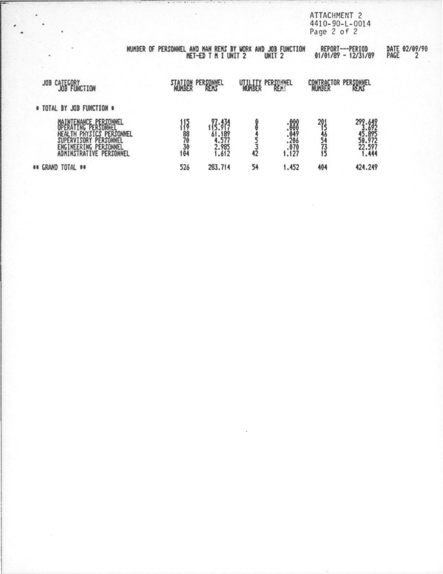ATTACHMENT 2<br>4410-90-L-0014<br>Page 2 of 2

|                                                                                                                                      | NUMBER OF PERSONNEL AND MAN REMS BY WORK AND JOB FUNCTION                                          | <b>NET-ED T M I UNIT 2</b>               |               | UNIT <sub>2</sub>                                       |                        | REPORT---PERIOD<br>$01/01/89 - 12/31/89$       | DATE 02/09/9 |
|--------------------------------------------------------------------------------------------------------------------------------------|----------------------------------------------------------------------------------------------------|------------------------------------------|---------------|---------------------------------------------------------|------------------------|------------------------------------------------|--------------|
| CATEGORY<br>JOB                                                                                                                      | MUNBER                                                                                             | PERSONNEL                                | <b>WURBER</b> | PERSONNEL                                               |                        | CONTRACTOR PERSONNEL                           |              |
| # TOTAL BY JOB FUNCTION #                                                                                                            |                                                                                                    |                                          |               |                                                         |                        |                                                |              |
| <b>BRERAFTING PERSONNEL</b><br>HEALTH PHYSICS PERSONNEL<br>SUPERVISORY PERSONNEL<br>ENGINEERING PERSONNEL<br>ADMINSTRATIVE PERSONNEL | $\frac{1}{6}$<br>$\frac{1}{6}$<br>$\frac{1}{6}$<br>$\frac{1}{6}$<br>$\frac{1}{6}$<br>$\frac{1}{6}$ | 7.37<br>4.577<br>4.577<br>2.985<br>1.612 | 42            | $.868$<br>$.848$<br>$.849$<br>$.296$<br>$.670$<br>1.127 | $29_{5}$<br>46<br>5473 | 292.649<br>45.895<br>50.972<br>22.597<br>1.444 |              |
| ## GRAND TOTAL ##                                                                                                                    | 526                                                                                                | 283.714                                  | 54            | 1.452                                                   | 404                    | 424.249                                        |              |